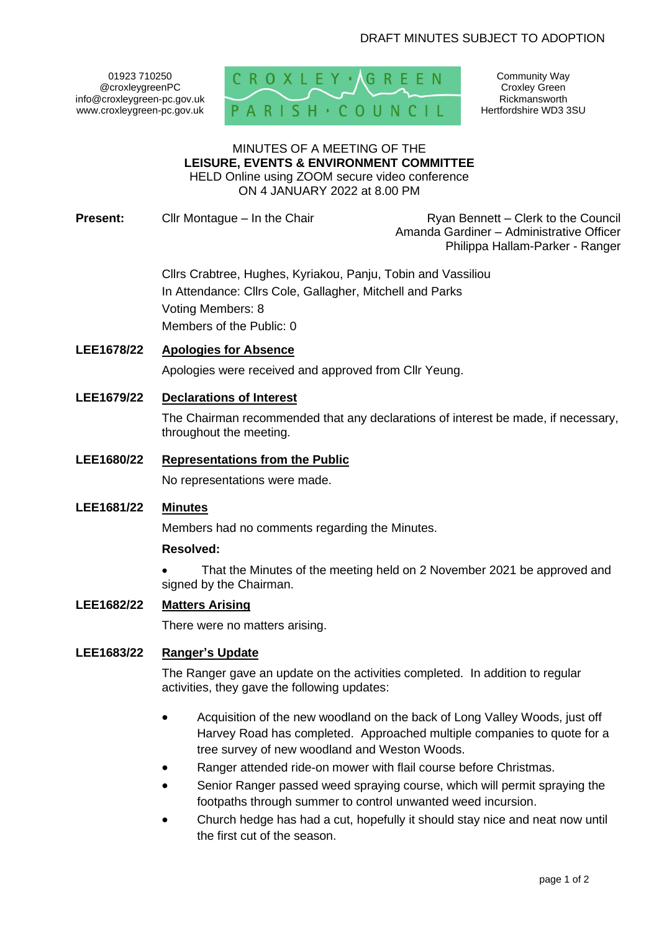01923 710250 @croxleygreenPC info@croxleygreen-pc.gov.uk www.croxleygreen-pc.gov.uk



Community Way Croxley Green Rickmansworth Hertfordshire WD3 3SU

# MINUTES OF A MEETING OF THE **LEISURE, EVENTS & ENVIRONMENT COMMITTEE**

HELD Online using ZOOM secure video conference ON 4 JANUARY 2022 at 8.00 PM

**Present:** Cllr Montague – In the Chair Ryan Bennett – Clerk to the Council

Amanda Gardiner – Administrative Officer Philippa Hallam-Parker - Ranger

Cllrs Crabtree, Hughes, Kyriakou, Panju, Tobin and Vassiliou In Attendance: Cllrs Cole, Gallagher, Mitchell and Parks Voting Members: 8 Members of the Public: 0

# **LEE1678/22 Apologies for Absence**

Apologies were received and approved from Cllr Yeung.

# **LEE1679/22 Declarations of Interest**

The Chairman recommended that any declarations of interest be made, if necessary, throughout the meeting.

# **LEE1680/22 Representations from the Public**

No representations were made.

# **LEE1681/22 Minutes**

Members had no comments regarding the Minutes.

# **Resolved:**

• That the Minutes of the meeting held on 2 November 2021 be approved and signed by the Chairman.

# **LEE1682/22 Matters Arising**

There were no matters arising.

# **LEE1683/22 Ranger's Update**

The Ranger gave an update on the activities completed. In addition to regular activities, they gave the following updates:

- Acquisition of the new woodland on the back of Long Valley Woods, just off Harvey Road has completed. Approached multiple companies to quote for a tree survey of new woodland and Weston Woods.
- Ranger attended ride-on mower with flail course before Christmas.
- Senior Ranger passed weed spraying course, which will permit spraying the footpaths through summer to control unwanted weed incursion.
- Church hedge has had a cut, hopefully it should stay nice and neat now until the first cut of the season.